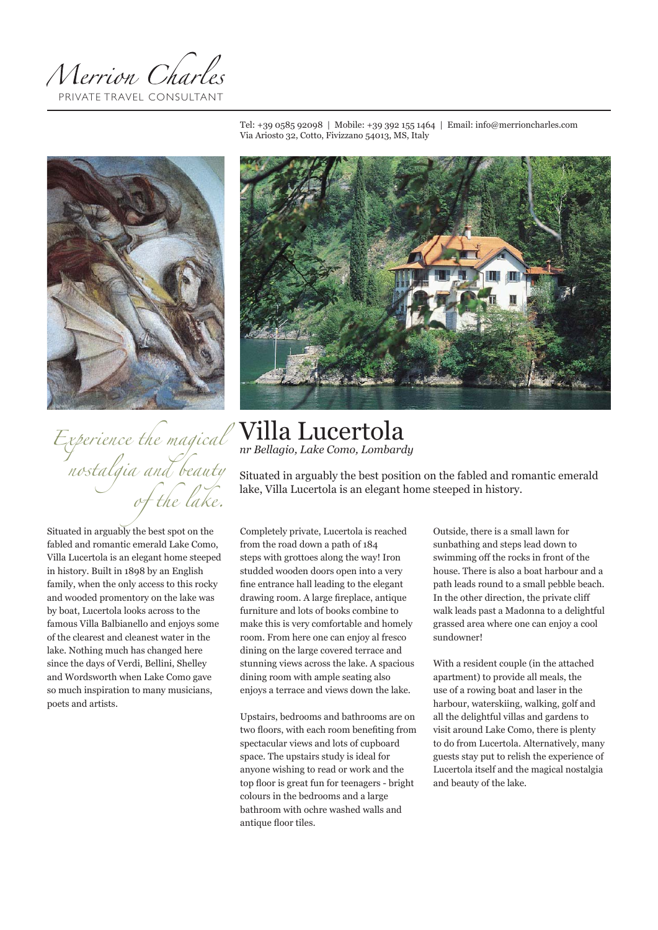Merrion Charles PRIVATE TRAVEL CONSULTANT

Tel: +39 0585 92098 | Mobile: +39 392 155 1464 | Email: info@merrioncharles.com Via Ariosto 32, Cotto, Fivizzano 54013, MS, Italy



# *Experience the magical nostalgia and beauty of the lake.*

Situated in arguably the best spot on the fabled and romantic emerald Lake Como, Villa Lucertola is an elegant home steeped in history. Built in 1898 by an English family, when the only access to this rocky and wooded promentory on the lake was by boat, Lucertola looks across to the famous Villa Balbianello and enjoys some of the clearest and cleanest water in the lake. Nothing much has changed here since the days of Verdi, Bellini, Shelley and Wordsworth when Lake Como gave so much inspiration to many musicians, poets and artists.



# Villa Lucertola *nr Bellagio, Lake Como, Lombardy*

Situated in arguably the best position on the fabled and romantic emerald lake, Villa Lucertola is an elegant home steeped in history.

Completely private, Lucertola is reached from the road down a path of 184 steps with grottoes along the way! Iron studded wooden doors open into a very fine entrance hall leading to the elegant drawing room. A large fireplace, antique furniture and lots of books combine to make this is very comfortable and homely room. From here one can enjoy al fresco dining on the large covered terrace and stunning views across the lake. A spacious dining room with ample seating also enjoys a terrace and views down the lake.

Upstairs, bedrooms and bathrooms are on two floors, with each room benefiting from spectacular views and lots of cupboard space. The upstairs study is ideal for anyone wishing to read or work and the top floor is great fun for teenagers - bright colours in the bedrooms and a large bathroom with ochre washed walls and antique floor tiles.

Outside, there is a small lawn for sunbathing and steps lead down to swimming off the rocks in front of the house. There is also a boat harbour and a path leads round to a small pebble beach. In the other direction, the private cliff walk leads past a Madonna to a delightful grassed area where one can enjoy a cool sundowner!

With a resident couple (in the attached apartment) to provide all meals, the use of a rowing boat and laser in the harbour, waterskiing, walking, golf and all the delightful villas and gardens to visit around Lake Como, there is plenty to do from Lucertola. Alternatively, many guests stay put to relish the experience of Lucertola itself and the magical nostalgia and beauty of the lake.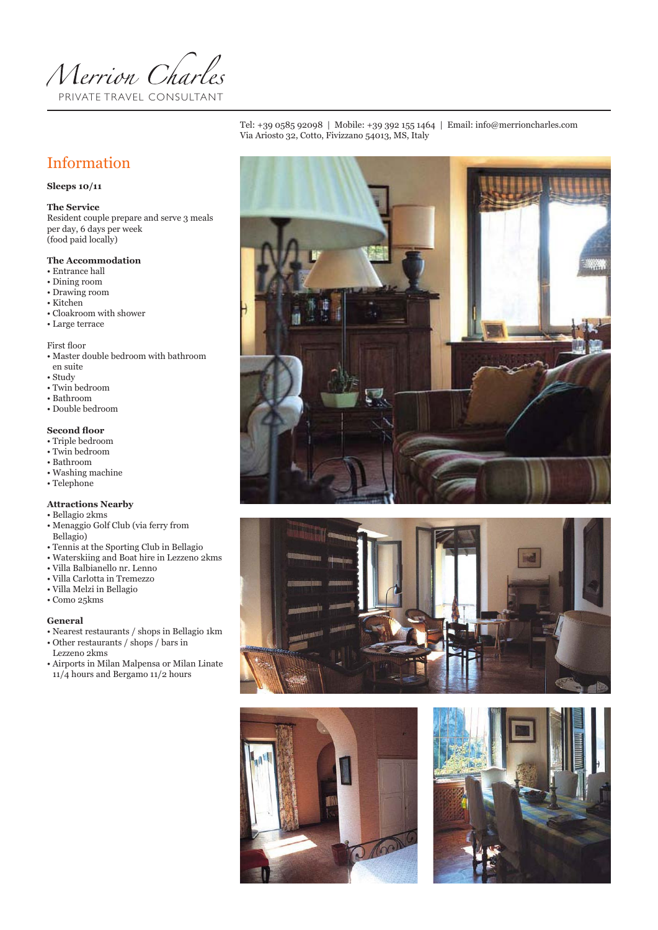

Tel: +39 0585 92098 | Mobile: +39 392 155 1464 | Email: info@merrioncharles.com Via Ariosto 32, Cotto, Fivizzano 54013, MS, Italy



## **Sleeps 10/11**

#### **The Service**

(food paid locally) Resident couple prepare and serve 3 meals per day, 6 days per week

#### **The Accommodation**

- Entrance hall
- Dining room
- Drawing room
- Kitchen
- Cloakroom with shower
- Large terrace

First floor

- Master double bedroom with bathroom en suite
- 
- Study • Twin bedroom
- Bathroom
- 
- Double bedroom

### **Second floor**

- Triple bedroom
- Twin bedroom
- Bathroom
- Washing machine
- Telephone

#### **Attractions Nearby**

- Bellagio 2kms
- Menaggio Golf Club (via ferry from Bellagio)
- Tennis at the Sporting Club in Bellagio
- Waterskiing and Boat hire in Lezzeno 2kms
- Villa Balbianello nr. Lenno
- Villa Carlotta in Tremezzo
- Villa Melzi in Bellagio
- Como 25kms

#### **General**

- Nearest restaurants / shops in Bellagio 1km • Other restaurants / shops / bars in
- Lezzeno 2kms • Airports in Milan Malpensa or Milan Linate 11/4 hours and Bergamo 11/2 hours